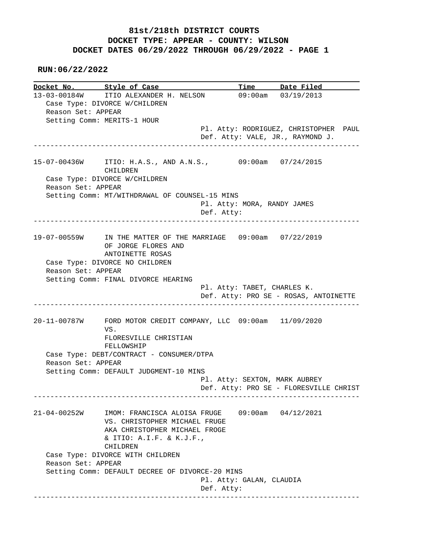**RUN:06/22/2022**

|                    | Docket No. Style of Case                                       |                               | Time Date Filed                        |  |
|--------------------|----------------------------------------------------------------|-------------------------------|----------------------------------------|--|
|                    | 13-03-00184W ITIO ALEXANDER H. NELSON                          |                               | 09:00am 03/19/2013                     |  |
|                    | Case Type: DIVORCE W/CHILDREN                                  |                               |                                        |  |
| Reason Set: APPEAR |                                                                |                               |                                        |  |
|                    | Setting Comm: MERITS-1 HOUR                                    |                               | Pl. Atty: RODRIGUEZ, CHRISTOPHER PAUL  |  |
|                    |                                                                |                               | Def. Atty: VALE, JR., RAYMOND J.       |  |
|                    |                                                                |                               |                                        |  |
|                    | 15-07-00436W ITIO: H.A.S., AND A.N.S., 09:00am 07/24/2015      |                               |                                        |  |
|                    | CHILDREN                                                       |                               |                                        |  |
|                    | Case Type: DIVORCE W/CHILDREN                                  |                               |                                        |  |
| Reason Set: APPEAR |                                                                |                               |                                        |  |
|                    | Setting Comm: MT/WITHDRAWAL OF COUNSEL-15 MINS                 | Pl. Atty: MORA, RANDY JAMES   |                                        |  |
|                    |                                                                | Def. Atty:                    |                                        |  |
|                    |                                                                |                               |                                        |  |
|                    | 19-07-00559W IN THE MATTER OF THE MARRIAGE 09:00am 07/22/2019  |                               |                                        |  |
|                    | OF JORGE FLORES AND                                            |                               |                                        |  |
|                    | ANTOINETTE ROSAS                                               |                               |                                        |  |
|                    | Case Type: DIVORCE NO CHILDREN                                 |                               |                                        |  |
| Reason Set: APPEAR |                                                                |                               |                                        |  |
|                    | Setting Comm: FINAL DIVORCE HEARING                            |                               |                                        |  |
|                    |                                                                | Pl. Atty: TABET, CHARLES K.   |                                        |  |
|                    |                                                                |                               | Def. Atty: PRO SE - ROSAS, ANTOINETTE  |  |
|                    | 20-11-00787W FORD MOTOR CREDIT COMPANY, LLC 09:00am 11/09/2020 |                               |                                        |  |
|                    | VS.                                                            |                               |                                        |  |
|                    | FLORESVILLE CHRISTIAN                                          |                               |                                        |  |
|                    | FELLOWSHIP                                                     |                               |                                        |  |
|                    | Case Type: DEBT/CONTRACT - CONSUMER/DTPA                       |                               |                                        |  |
| Reason Set: APPEAR |                                                                |                               |                                        |  |
|                    | Setting Comm: DEFAULT JUDGMENT-10 MINS                         |                               |                                        |  |
|                    |                                                                | Pl. Atty: SEXTON, MARK AUBREY |                                        |  |
|                    |                                                                |                               | Def. Atty: PRO SE - FLORESVILLE CHRIST |  |
|                    |                                                                |                               |                                        |  |
|                    | 21-04-00252W IMOM: FRANCISCA ALOISA FRUGE 09:00am 04/12/2021   |                               |                                        |  |
|                    | VS. CHRISTOPHER MICHAEL FRUGE<br>AKA CHRISTOPHER MICHAEL FROGE |                               |                                        |  |
|                    | & ITIO: A.I.F. & K.J.F.,                                       |                               |                                        |  |
|                    | CHILDREN                                                       |                               |                                        |  |
|                    | Case Type: DIVORCE WITH CHILDREN                               |                               |                                        |  |
| Reason Set: APPEAR |                                                                |                               |                                        |  |
|                    | Setting Comm: DEFAULT DECREE OF DIVORCE-20 MINS                |                               |                                        |  |
|                    |                                                                | Pl. Atty: GALAN, CLAUDIA      |                                        |  |
|                    |                                                                | Def. Atty:                    |                                        |  |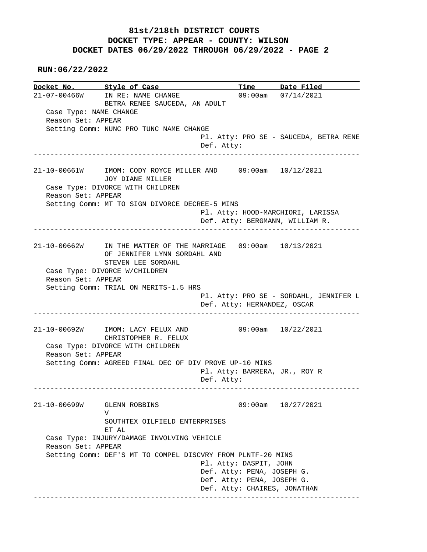**RUN:06/22/2022**

**Docket No. Style of Case Time Date Filed**  21-07-00466W IN RE: NAME CHANGE 09:00am 07/14/2021 BETRA RENEE SAUCEDA, AN ADULT Case Type: NAME CHANGE Reason Set: APPEAR Setting Comm: NUNC PRO TUNC NAME CHANGE Pl. Atty: PRO SE - SAUCEDA, BETRA RENE Def. Atty: ------------------------------------------------------------------------------ 21-10-00661W IMOM: CODY ROYCE MILLER AND 09:00am 10/12/2021 JOY DIANE MILLER Case Type: DIVORCE WITH CHILDREN Reason Set: APPEAR Setting Comm: MT TO SIGN DIVORCE DECREE-5 MINS Pl. Atty: HOOD-MARCHIORI, LARISSA Def. Atty: BERGMANN, WILLIAM R. ------------------------------------------------------------------------------ 21-10-00662W IN THE MATTER OF THE MARRIAGE 09:00am 10/13/2021 OF JENNIFER LYNN SORDAHL AND STEVEN LEE SORDAHL Case Type: DIVORCE W/CHILDREN Reason Set: APPEAR Setting Comm: TRIAL ON MERITS-1.5 HRS Pl. Atty: PRO SE - SORDAHL, JENNIFER L Def. Atty: HERNANDEZ, OSCAR ------------------------------------------------------------------------------ 21-10-00692W IMOM: LACY FELUX AND 09:00am 10/22/2021 CHRISTOPHER R. FELUX Case Type: DIVORCE WITH CHILDREN Reason Set: APPEAR Setting Comm: AGREED FINAL DEC OF DIV PROVE UP-10 MINS Pl. Atty: BARRERA, JR., ROY R Def. Atty: ------------------------------------------------------------------------------ 21-10-00699W GLENN ROBBINS 09:00am 10/27/2021 V SOUTHTEX OILFIELD ENTERPRISES ET AL Case Type: INJURY/DAMAGE INVOLVING VEHICLE Reason Set: APPEAR Setting Comm: DEF'S MT TO COMPEL DISCVRY FROM PLNTF-20 MINS Pl. Atty: DASPIT, JOHN Def. Atty: PENA, JOSEPH G. Def. Atty: PENA, JOSEPH G. Def. Atty: CHAIRES, JONATHAN ------------------------------------------------------------------------------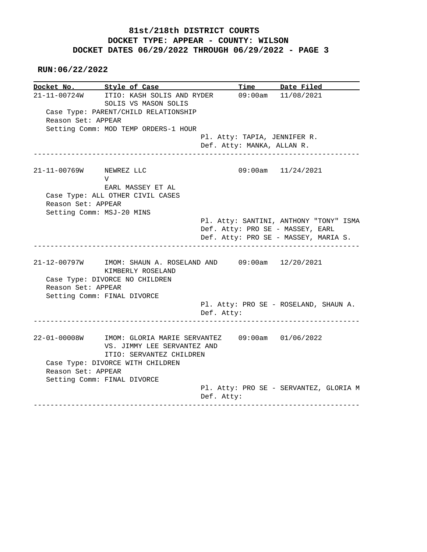**RUN:06/22/2022**

|                         | Docket No. Style of Case                                                                                                                          |                            | Time Date Filed                                                          |
|-------------------------|---------------------------------------------------------------------------------------------------------------------------------------------------|----------------------------|--------------------------------------------------------------------------|
|                         | 21-11-00724W ITIO: KASH SOLIS AND RYDER<br>SOLIS VS MASON SOLIS                                                                                   |                            | 09:00am 11/08/2021                                                       |
| Reason Set: APPEAR      | Case Type: PARENT/CHILD RELATIONSHIP                                                                                                              |                            |                                                                          |
|                         | Setting Comm: MOD TEMP ORDERS-1 HOUR                                                                                                              |                            |                                                                          |
|                         |                                                                                                                                                   |                            | Pl. Atty: TAPIA, JENNIFER R.                                             |
|                         |                                                                                                                                                   | Def. Atty: MANKA, ALLAN R. |                                                                          |
| 21-11-00769W NEWREZ LLC | $\mathbf{V}$<br>EARL MASSEY ET AL                                                                                                                 |                            | 09:00am 11/24/2021                                                       |
| Reason Set: APPEAR      | Case Type: ALL OTHER CIVIL CASES                                                                                                                  |                            |                                                                          |
|                         | Setting Comm: MSJ-20 MINS                                                                                                                         |                            |                                                                          |
|                         |                                                                                                                                                   |                            | Pl. Atty: SANTINI, ANTHONY "TONY" ISMA                                   |
|                         |                                                                                                                                                   |                            | Def. Atty: PRO SE - MASSEY, EARL<br>Def. Atty: PRO SE - MASSEY, MARIA S. |
|                         |                                                                                                                                                   |                            |                                                                          |
| Reason Set: APPEAR      | 21-12-00797W IMOM: SHAUN A. ROSELAND AND 09:00am 12/20/2021<br>KIMBERLY ROSELAND<br>Case Type: DIVORCE NO CHILDREN<br>Setting Comm: FINAL DIVORCE |                            | Pl. Atty: PRO SE - ROSELAND, SHAUN A.                                    |
|                         |                                                                                                                                                   | Def. Atty:                 |                                                                          |
|                         | 22-01-00008W IMOM: GLORIA MARIE SERVANTEZ 09:00am 01/06/2022<br>VS. JIMMY LEE SERVANTEZ AND<br>ITIO: SERVANTEZ CHILDREN                           |                            |                                                                          |
| Reason Set: APPEAR      | Case Type: DIVORCE WITH CHILDREN                                                                                                                  |                            |                                                                          |
|                         | Setting Comm: FINAL DIVORCE                                                                                                                       |                            | Pl. Atty: PRO SE - SERVANTEZ, GLORIA M                                   |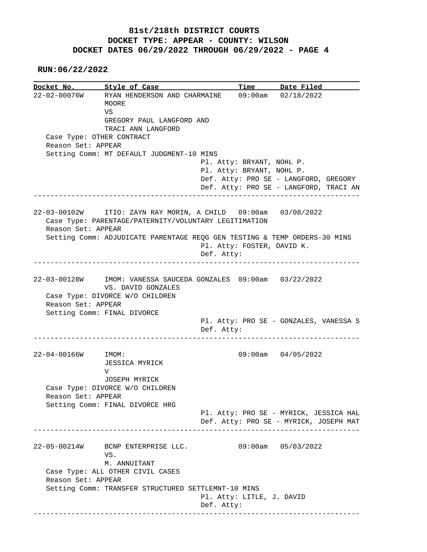**RUN:06/22/2022**

|                     | Docket No. Style of Case                                                                                               |                                                                                  | Time Date Filed        |  |
|---------------------|------------------------------------------------------------------------------------------------------------------------|----------------------------------------------------------------------------------|------------------------|--|
|                     | 22-02-00076W RYAN HENDERSON AND CHARMAINE                                                                              |                                                                                  | $09:00am$ $02/18/2022$ |  |
|                     | MOORE                                                                                                                  |                                                                                  |                        |  |
|                     | VS                                                                                                                     |                                                                                  |                        |  |
|                     | GREGORY PAUL LANGFORD AND                                                                                              |                                                                                  |                        |  |
|                     | TRACI ANN LANGFORD                                                                                                     |                                                                                  |                        |  |
|                     | Case Type: OTHER CONTRACT                                                                                              |                                                                                  |                        |  |
| Reason Set: APPEAR  |                                                                                                                        |                                                                                  |                        |  |
|                     | Setting Comm: MT DEFAULT JUDGMENT-10 MINS                                                                              |                                                                                  |                        |  |
|                     |                                                                                                                        | Pl. Atty: BRYANT, NOHL P.                                                        |                        |  |
|                     |                                                                                                                        | Pl. Atty: BRYANT, NOHL P.                                                        |                        |  |
|                     |                                                                                                                        | Def. Atty: PRO SE - LANGFORD, GREGORY                                            |                        |  |
|                     |                                                                                                                        | Def. Atty: PRO SE - LANGFORD, TRACI AN                                           |                        |  |
|                     |                                                                                                                        | _____________________________________                                            |                        |  |
|                     | 22-03-00102W ITIO: ZAYN RAY MORIN, A CHILD 09:00am 03/08/2022<br>Case Type: PARENTAGE/PATERNITY/VOLUNTARY LEGITIMATION |                                                                                  |                        |  |
| Reason Set: APPEAR  |                                                                                                                        |                                                                                  |                        |  |
|                     | Setting Comm: ADJUDICATE PARENTAGE REQG GEN TESTING & TEMP ORDERS-30 MINS                                              |                                                                                  |                        |  |
|                     |                                                                                                                        | Pl. Atty: FOSTER, DAVID K.                                                       |                        |  |
|                     |                                                                                                                        | Def. Atty:                                                                       |                        |  |
|                     |                                                                                                                        |                                                                                  |                        |  |
|                     | 22-03-00128W IMOM: VANESSA SAUCEDA GONZALES 09:00am 03/22/2022                                                         |                                                                                  |                        |  |
|                     |                                                                                                                        |                                                                                  |                        |  |
|                     | VS. DAVID GONZALES                                                                                                     |                                                                                  |                        |  |
|                     |                                                                                                                        |                                                                                  |                        |  |
| Reason Set: APPEAR  | Case Type: DIVORCE W/O CHILDREN                                                                                        |                                                                                  |                        |  |
|                     |                                                                                                                        |                                                                                  |                        |  |
|                     | Setting Comm: FINAL DIVORCE                                                                                            | Pl. Atty: PRO SE - GONZALES, VANESSA S                                           |                        |  |
|                     |                                                                                                                        | Def. Atty:                                                                       |                        |  |
|                     | --------------------                                                                                                   |                                                                                  |                        |  |
|                     | IMOM:                                                                                                                  |                                                                                  | 09:00am 04/05/2022     |  |
|                     | <b>JESSICA MYRICK</b>                                                                                                  |                                                                                  |                        |  |
|                     | V                                                                                                                      |                                                                                  |                        |  |
|                     | JOSEPH MYRICK                                                                                                          |                                                                                  |                        |  |
|                     | Case Type: DIVORCE W/O CHILDREN                                                                                        |                                                                                  |                        |  |
| Reason Set: APPEAR  |                                                                                                                        |                                                                                  |                        |  |
|                     | Setting Comm: FINAL DIVORCE HRG                                                                                        |                                                                                  |                        |  |
|                     |                                                                                                                        |                                                                                  |                        |  |
|                     |                                                                                                                        | Pl. Atty: PRO SE - MYRICK, JESSICA HAL<br>Def. Atty: PRO SE - MYRICK, JOSEPH MAT |                        |  |
| $22 - 04 - 00166$ W |                                                                                                                        |                                                                                  |                        |  |
|                     | 22-05-00214W BCNP ENTERPRISE LLC.                                                                                      |                                                                                  | $09:00am$ $05/03/2022$ |  |
|                     | VS.                                                                                                                    |                                                                                  |                        |  |
|                     | M. ANNUITANT                                                                                                           |                                                                                  |                        |  |
|                     | Case Type: ALL OTHER CIVIL CASES                                                                                       |                                                                                  |                        |  |
| Reason Set: APPEAR  |                                                                                                                        |                                                                                  |                        |  |
|                     |                                                                                                                        |                                                                                  |                        |  |
|                     | Setting Comm: TRANSFER STRUCTURED SETTLEMNT-10 MINS                                                                    | Pl. Atty: LITLE, J. DAVID                                                        |                        |  |